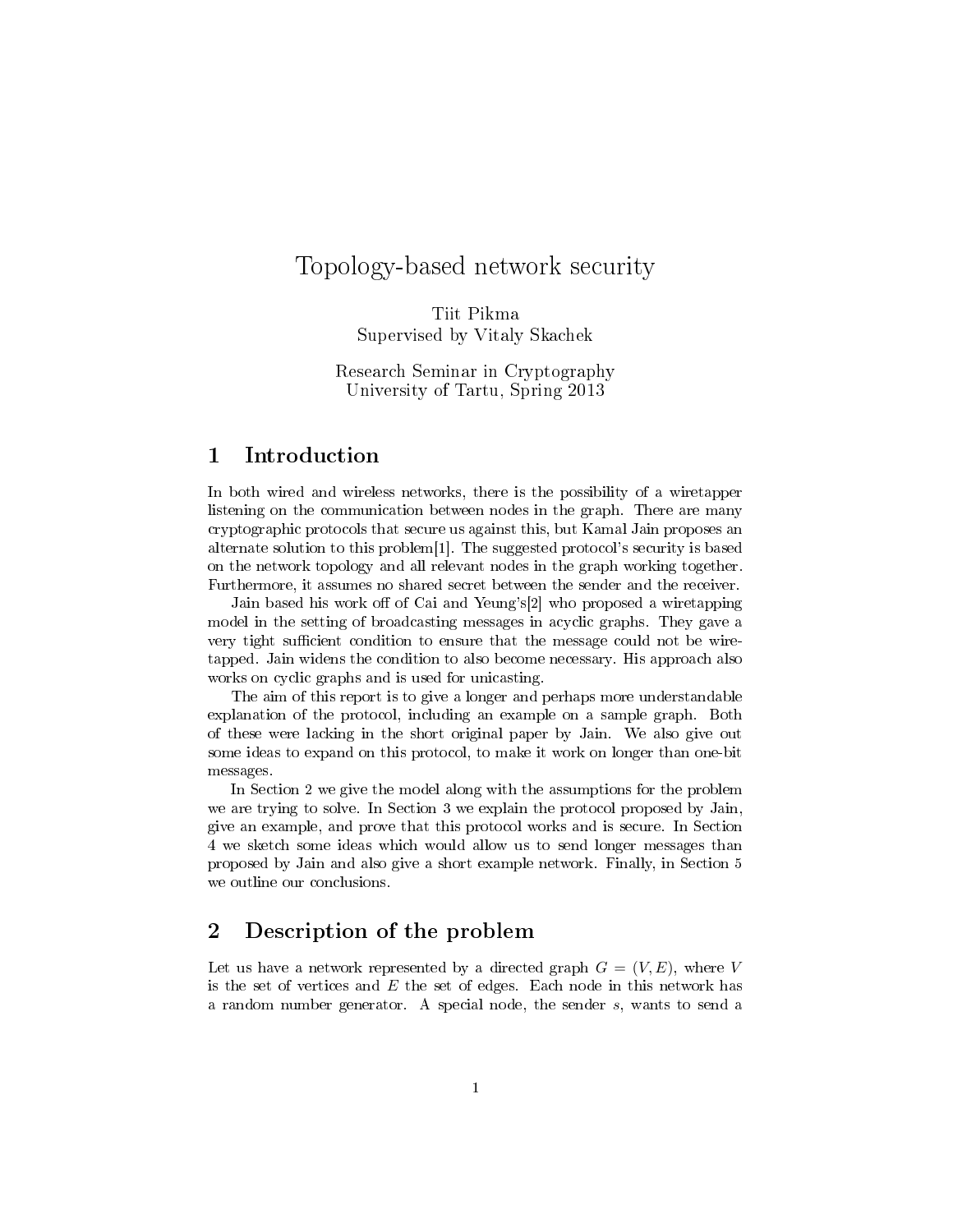# Topology-based network security

Tiit Pikma Supervised by Vitaly Skachek

Research Seminar in Cryptography University of Tartu, Spring 2013

# 1 Introduction

In both wired and wireless networks, there is the possibility of a wiretapper listening on the communication between nodes in the graph. There are many cryptographic protocols that secure us against this, but Kamal Jain proposes an alternate solution to this problem[1]. The suggested protocol's security is based on the network topology and all relevant nodes in the graph working together. Furthermore, it assumes no shared secret between the sender and the receiver.

Jain based his work off of Cai and Yeung's[2] who proposed a wiretapping model in the setting of broadcasting messages in acyclic graphs. They gave a very tight sufficient condition to ensure that the message could not be wiretapped. Jain widens the condition to also become necessary. His approach also works on cyclic graphs and is used for unicasting.

The aim of this report is to give a longer and perhaps more understandable explanation of the protocol, including an example on a sample graph. Both of these were lacking in the short original paper by Jain. We also give out some ideas to expand on this protocol, to make it work on longer than one-bit messages.

In Section 2 we give the model along with the assumptions for the problem we are trying to solve. In Section 3 we explain the protocol proposed by Jain, give an example, and prove that this protocol works and is secure. In Section 4 we sketch some ideas which would allow us to send longer messages than proposed by Jain and also give a short example network. Finally, in Section 5 we outline our conclusions.

# 2 Description of the problem

Let us have a network represented by a directed graph  $G = (V, E)$ , where V is the set of vertices and  $E$  the set of edges. Each node in this network has a random number generator. A special node, the sender s, wants to send a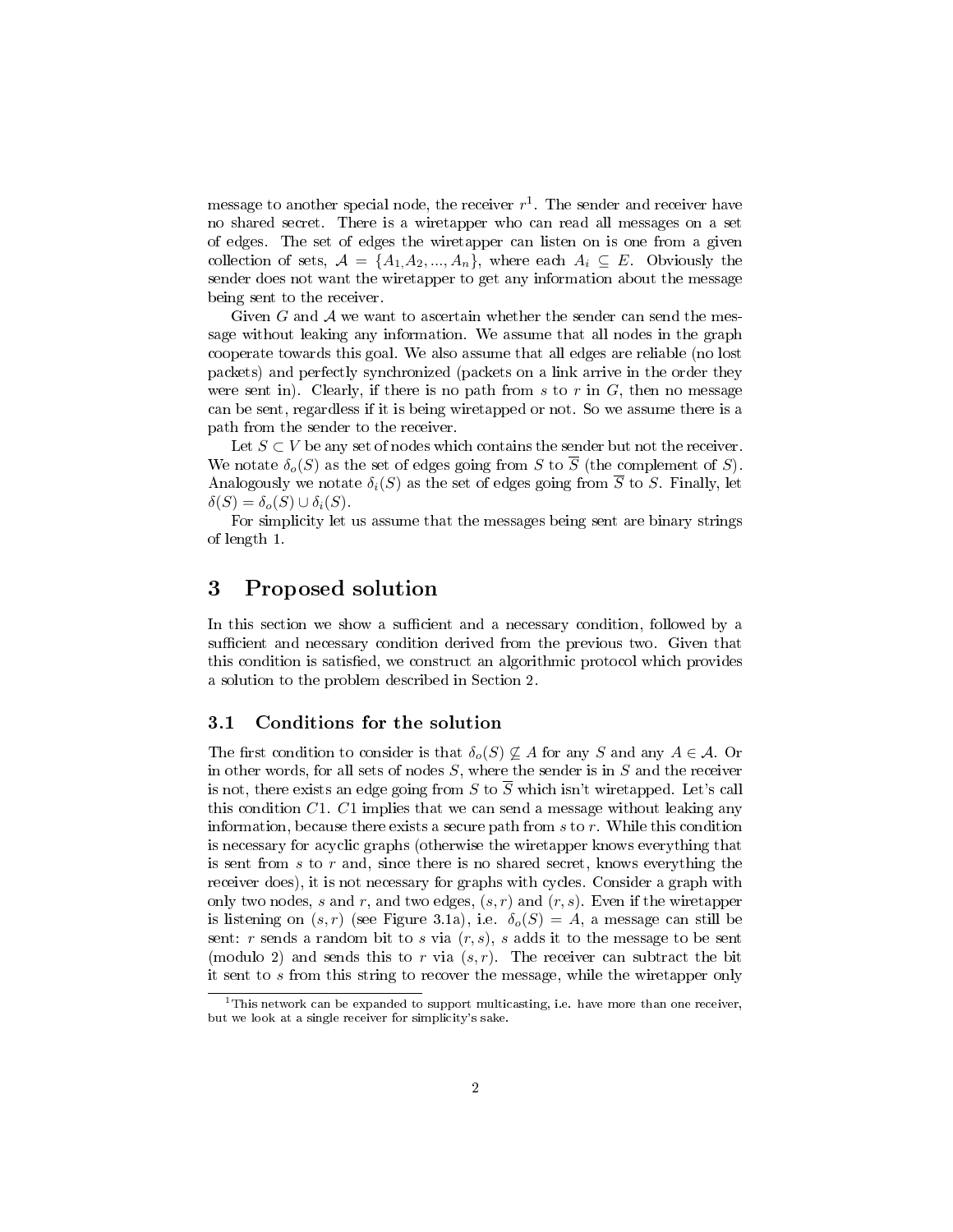message to another special node, the receiver  $r^1$ . The sender and receiver have no shared secret. There is a wiretapper who can read all messages on a set of edges. The set of edges the wiretapper can listen on is one from a given collection of sets,  $A = \{A_1, A_2, ..., A_n\}$ , where each  $A_i \subseteq E$ . Obviously the sender does not want the wiretapper to get any information about the message being sent to the receiver.

Given  $G$  and  $A$  we want to ascertain whether the sender can send the message without leaking any information. We assume that all nodes in the graph cooperate towards this goal. We also assume that all edges are reliable (no lost packets) and perfectly synchronized (packets on a link arrive in the order they were sent in). Clearly, if there is no path from s to r in  $G$ , then no message can be sent, regardless if it is being wiretapped or not. So we assume there is a path from the sender to the receiver.

Let  $S \subset V$  be any set of nodes which contains the sender but not the receiver. We notate  $\delta_o(S)$  as the set of edges going from S to  $\overline{S}$  (the complement of S). Analogously we notate  $\delta_i(S)$  as the set of edges going from  $\overline{S}$  to S. Finally, let  $\delta(S) = \delta_o(S) \cup \delta_i(S).$ 

For simplicity let us assume that the messages being sent are binary strings of length 1.

### 3 Proposed solution

In this section we show a sufficient and a necessary condition, followed by a sufficient and necessary condition derived from the previous two. Given that this condition is satisfied, we construct an algorithmic protocol which provides a solution to the problem described in Section 2.

#### 3.1 Conditions for the solution

The first condition to consider is that  $\delta_o(S) \nsubseteq A$  for any S and any  $A \in \mathcal{A}$ . Or in other words, for all sets of nodes  $S$ , where the sender is in  $S$  and the receiver is not, there exists an edge going from S to  $\overline{S}$  which isn't wiretapped. Let's call this condition  $C1$ .  $C1$  implies that we can send a message without leaking any information, because there exists a secure path from  $s$  to  $r$ . While this condition is necessary for acyclic graphs (otherwise the wiretapper knows everything that is sent from  $s$  to  $r$  and, since there is no shared secret, knows everything the receiver does), it is not necessary for graphs with cycles. Consider a graph with only two nodes, s and r, and two edges,  $(s, r)$  and  $(r, s)$ . Even if the wiretapper is listening on  $(s, r)$  (see Figure 3.1a), i.e.  $\delta_o(S) = A$ , a message can still be sent:  $r$  sends a random bit to  $s$  via  $(r, s)$ ,  $s$  adds it to the message to be sent (modulo 2) and sends this to r via  $(s, r)$ . The receiver can subtract the bit it sent to s from this string to recover the message, while the wiretapper only

<sup>&</sup>lt;sup>1</sup>This network can be expanded to support multicasting, i.e. have more than one receiver, but we look at a single receiver for simplicity's sake.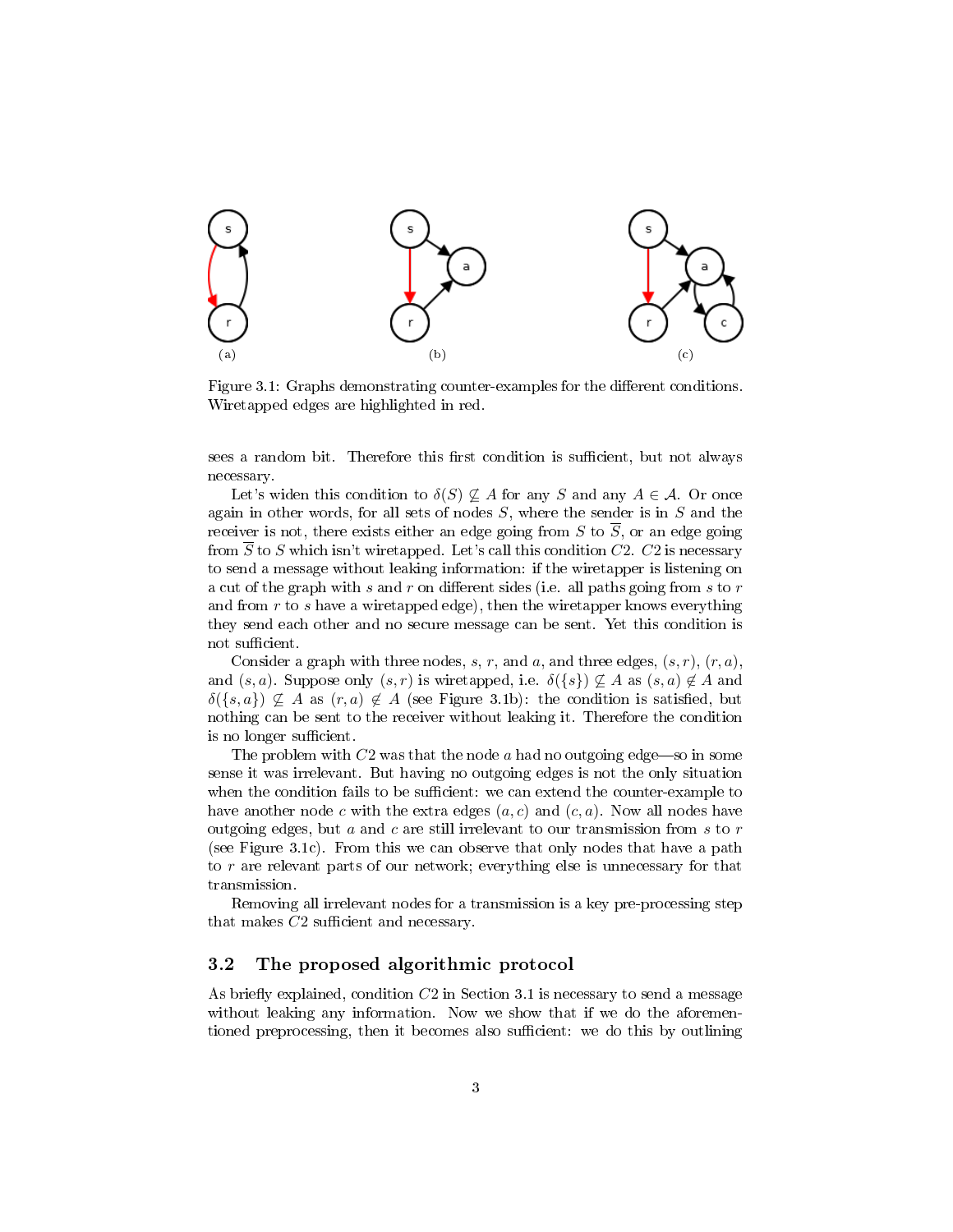

Figure 3.1: Graphs demonstrating counter-examples for the different conditions. Wiretapped edges are highlighted in red.

sees a random bit. Therefore this first condition is sufficient, but not always necessary.

Let's widen this condition to  $\delta(S) \not\subseteq A$  for any S and any  $A \in \mathcal{A}$ . Or once again in other words, for all sets of nodes  $S$ , where the sender is in  $S$  and the receiver is not, there exists either an edge going from S to  $\overline{S}$ , or an edge going from  $\overline{S}$  to S which isn't wiretapped. Let's call this condition C2. C2 is necessary to send a message without leaking information: if the wiretapper is listening on a cut of the graph with s and r on different sides (i.e. all paths going from s to  $r$ and from  $r$  to  $s$  have a wiretapped edge), then the wiretapper knows everything they send each other and no secure message can be sent. Yet this condition is not sufficient.

Consider a graph with three nodes, s, r, and a, and three edges,  $(s, r)$ ,  $(r, a)$ , and  $(s, a)$ . Suppose only  $(s, r)$  is wiretapped, i.e.  $\delta({s}) \not\subseteq A$  as  $(s, a) \not\in A$  and  $\delta({s,a}) \nsubseteq A$  as  $(r, a) \notin A$  (see Figure 3.1b): the condition is satisfied, but nothing can be sent to the receiver without leaking it. Therefore the condition is no longer sufficient.

The problem with  $C2$  was that the node a had no outgoing edge—so in some sense it was irrelevant. But having no outgoing edges is not the only situation when the condition fails to be sufficient: we can extend the counter-example to have another node c with the extra edges  $(a, c)$  and  $(c, a)$ . Now all nodes have outgoing edges, but  $a$  and  $c$  are still irrelevant to our transmission from  $s$  to  $r$ (see Figure 3.1c). From this we can observe that only nodes that have a path to r are relevant parts of our network; everything else is unnecessary for that transmission.

Removing all irrelevant nodes for a transmission is a key pre-processing step that makes  $C2$  sufficient and necessary.

#### 3.2 The proposed algorithmic protocol

As briefly explained, condition  $C2$  in Section 3.1 is necessary to send a message without leaking any information. Now we show that if we do the aforementioned preprocessing, then it becomes also sufficient: we do this by outlining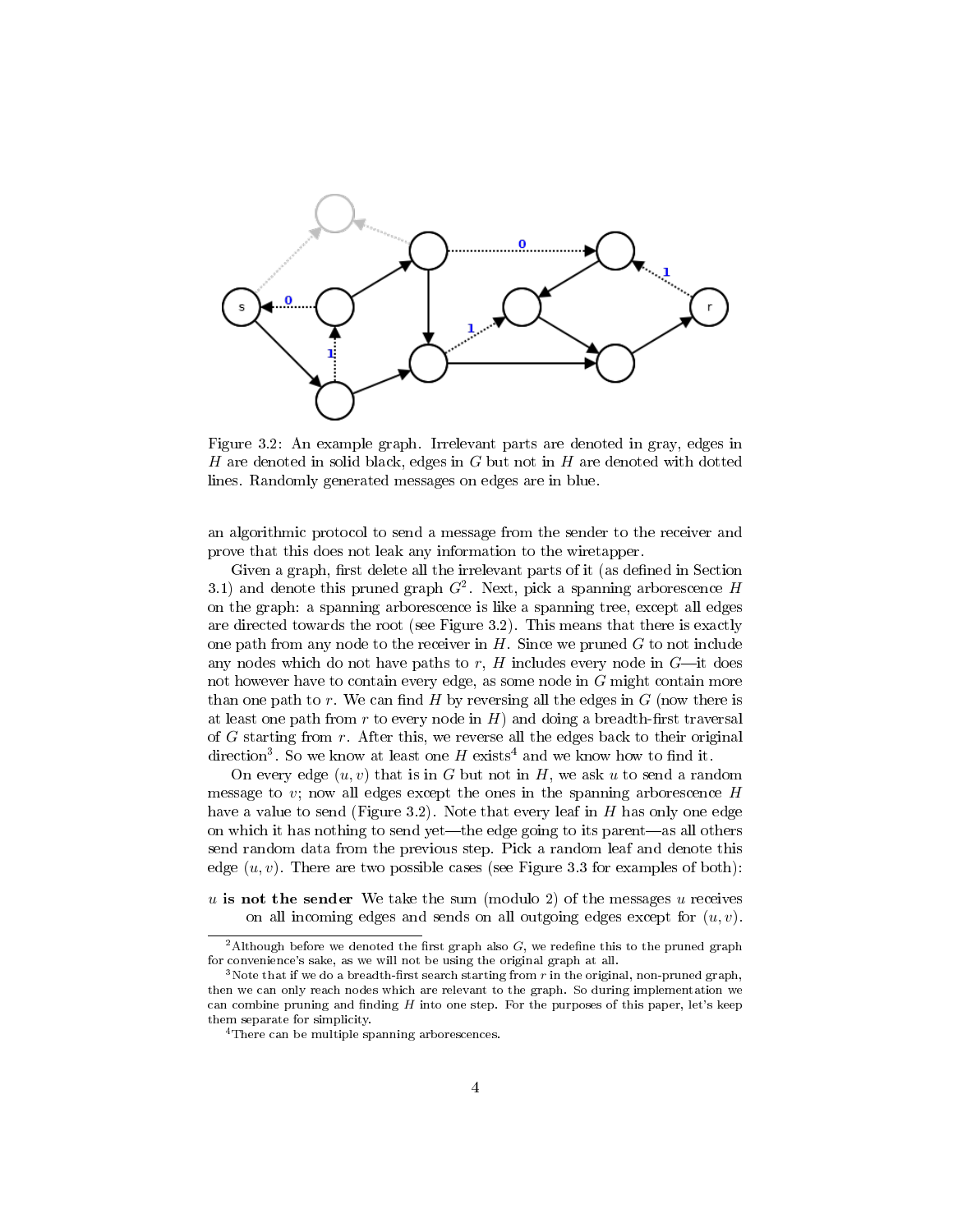

Figure 3.2: An example graph. Irrelevant parts are denoted in gray, edges in H are denoted in solid black, edges in  $G$  but not in  $H$  are denoted with dotted lines. Randomly generated messages on edges are in blue.

an algorithmic protocol to send a message from the sender to the receiver and prove that this does not leak any information to the wiretapper.

Given a graph, first delete all the irrelevant parts of it (as defined in Section 3.1) and denote this pruned graph  $G^2$ . Next, pick a spanning arborescence H on the graph: a spanning arborescence is like a spanning tree, except all edges are directed towards the root (see Figure 3.2). This means that there is exactly one path from any node to the receiver in  $H$ . Since we pruned  $G$  to not include any nodes which do not have paths to  $r$ ,  $H$  includes every node in  $G$ —it does not however have to contain every edge, as some node in G might contain more than one path to r. We can find  $H$  by reversing all the edges in  $G$  (now there is at least one path from  $r$  to every node in  $H$ ) and doing a breadth-first traversal of  $G$  starting from  $r$ . After this, we reverse all the edges back to their original direction<sup>3</sup>. So we know at least one H exists<sup>4</sup> and we know how to find it.

On every edge  $(u, v)$  that is in G but not in H, we ask u to send a random message to v; now all edges except the ones in the spanning arborescence  $H$ have a value to send (Figure 3.2). Note that every leaf in  $H$  has only one edge on which it has nothing to send yet—the edge going to its parent—as all others send random data from the previous step. Pick a random leaf and denote this edge  $(u, v)$ . There are two possible cases (see Figure 3.3 for examples of both):

u is not the sender We take the sum (modulo 2) of the messages  $u$  receives on all incoming edges and sends on all outgoing edges except for  $(u, v)$ .

<sup>&</sup>lt;sup>2</sup>Although before we denoted the first graph also  $G$ , we redefine this to the pruned graph for convenience's sake, as we will not be using the original graph at all.

 $3$ Note that if we do a breadth-first search starting from  $r$  in the original, non-pruned graph, then we can only reach nodes which are relevant to the graph. So during implementation we can combine pruning and finding  $H$  into one step. For the purposes of this paper, let's keep them separate for simplicity.

<sup>&</sup>lt;sup>4</sup>There can be multiple spanning arborescences.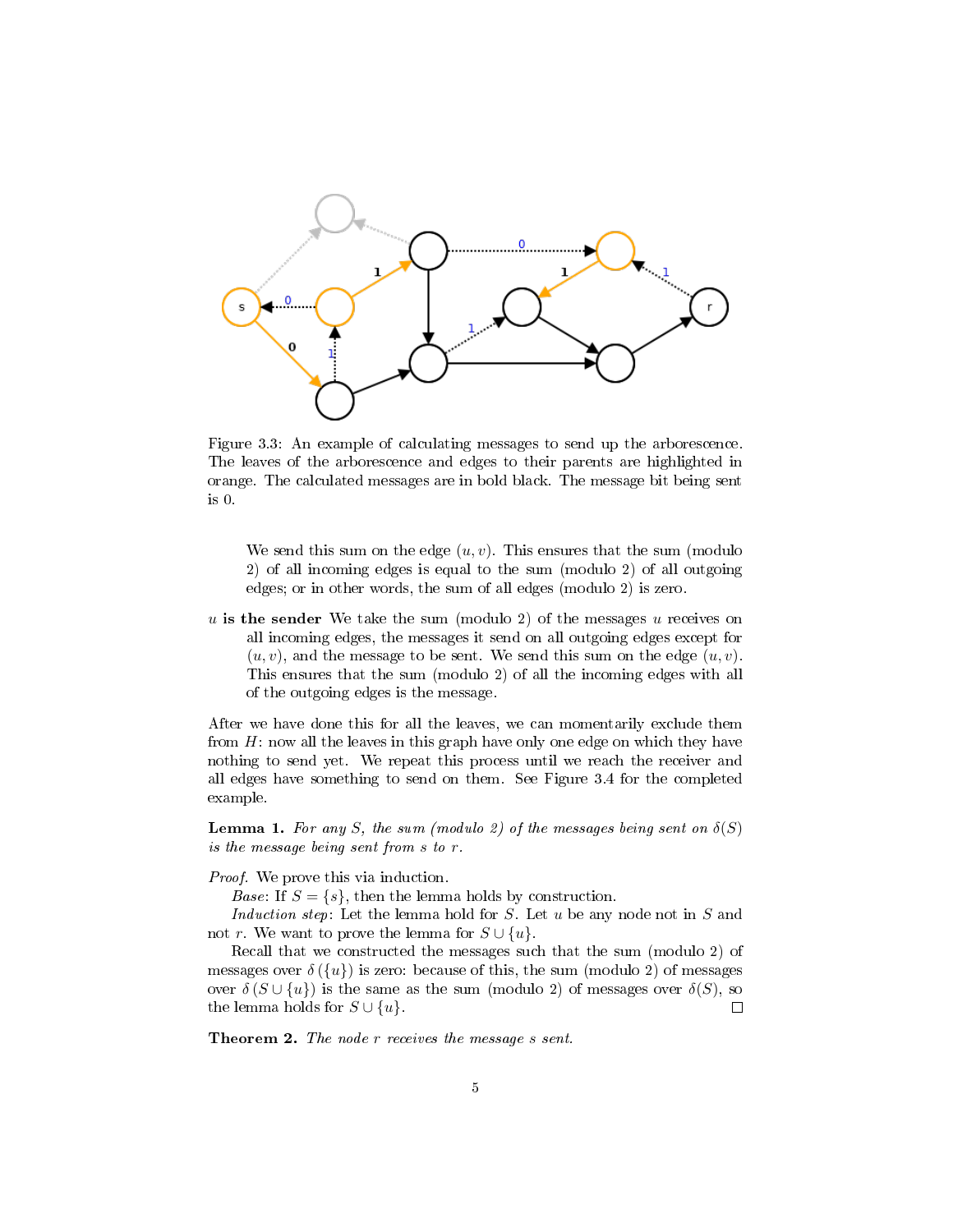

Figure 3.3: An example of calculating messages to send up the arborescence. The leaves of the arborescence and edges to their parents are highlighted in orange. The calculated messages are in bold black. The message bit being sent is 0.

We send this sum on the edge  $(u, v)$ . This ensures that the sum (modulo 2) of all incoming edges is equal to the sum (modulo 2) of all outgoing edges; or in other words, the sum of all edges (modulo 2) is zero.

u is the sender We take the sum (modulo 2) of the messages u receives on all incoming edges, the messages it send on all outgoing edges except for  $(u, v)$ , and the message to be sent. We send this sum on the edge  $(u, v)$ . This ensures that the sum (modulo 2) of all the incoming edges with all of the outgoing edges is the message.

After we have done this for all the leaves, we can momentarily exclude them from  $H$ : now all the leaves in this graph have only one edge on which they have nothing to send yet. We repeat this process until we reach the receiver and all edges have something to send on them. See Figure 3.4 for the completed example.

**Lemma 1.** For any S, the sum (modulo 2) of the messages being sent on  $\delta(S)$ is the message being sent from s to r.

Proof. We prove this via induction.

*Base*: If  $S = \{s\}$ , then the lemma holds by construction.

Induction step: Let the lemma hold for  $S$ . Let  $u$  be any node not in  $S$  and not r. We want to prove the lemma for  $S \cup \{u\}$ .

Recall that we constructed the messages such that the sum (modulo 2) of messages over  $\delta({u})$  is zero: because of this, the sum (modulo 2) of messages over  $\delta(S \cup \{u\})$  is the same as the sum (modulo 2) of messages over  $\delta(S)$ , so the lemma holds for  $S \cup \{u\}$ .  $\Box$ 

Theorem 2. The node r receives the message s sent.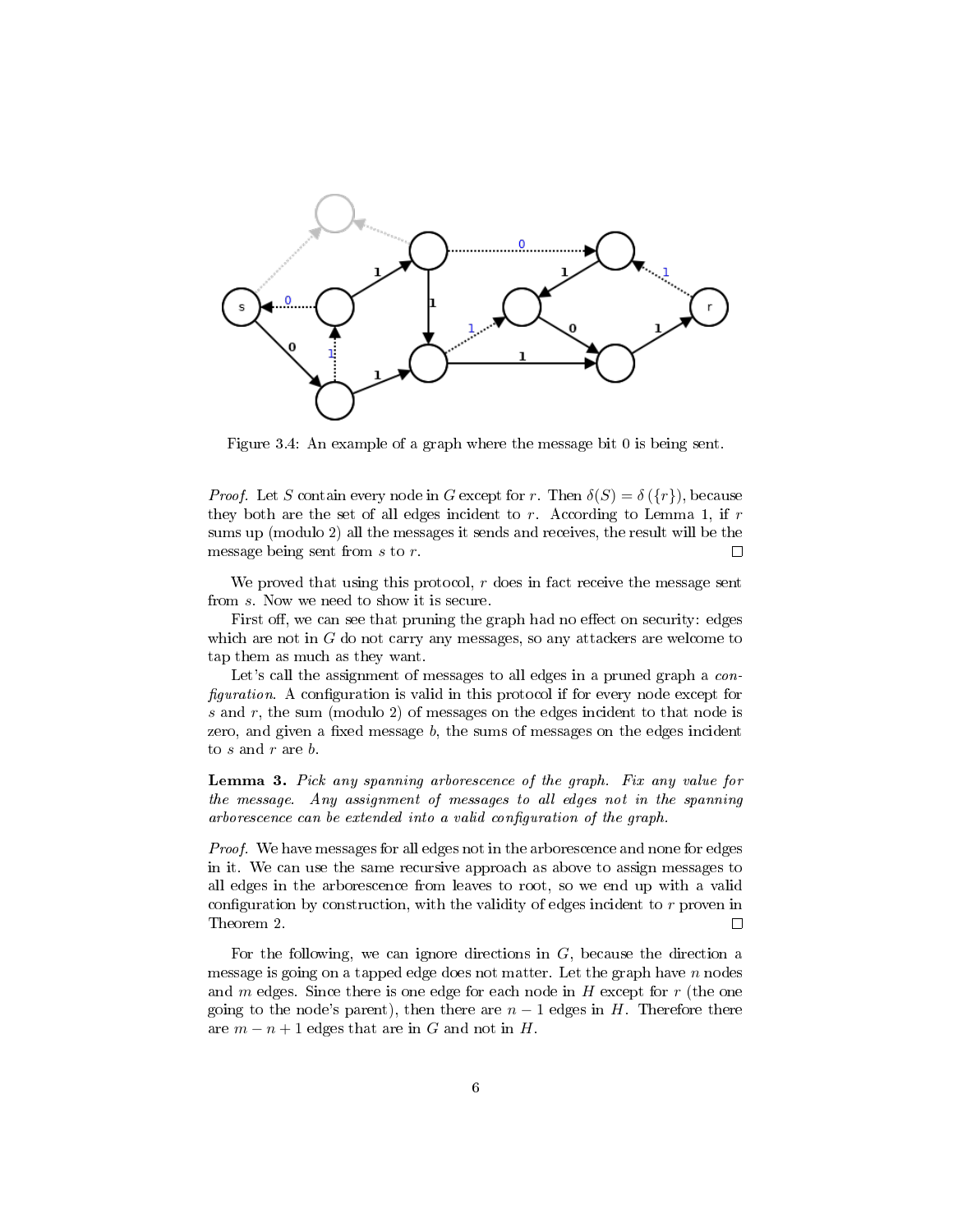

Figure 3.4: An example of a graph where the message bit 0 is being sent.

*Proof.* Let S contain every node in G except for r. Then  $\delta(S) = \delta({r})$ , because they both are the set of all edges incident to  $r$ . According to Lemma 1, if  $r$ sums up (modulo 2) all the messages it sends and receives, the result will be the message being sent from s to r.  $\Box$ 

We proved that using this protocol,  $r$  does in fact receive the message sent from s. Now we need to show it is secure.

First off, we can see that pruning the graph had no effect on security: edges which are not in  $G$  do not carry any messages, so any attackers are welcome to tap them as much as they want.

Let's call the assignment of messages to all edges in a pruned graph a *con* $figuration. A configuration is valid in this protocol if for every node except for$ s and r, the sum (modulo 2) of messages on the edges incident to that node is zero, and given a fixed message  $b$ , the sums of messages on the edges incident to  $s$  and  $r$  are  $b$ .

Lemma 3. Pick any spanning arborescence of the graph. Fix any value for the message. Any assignment of messages to all edges not in the spanning arborescence can be extended into a valid configuration of the graph.

Proof. We have messages for all edges not in the arborescence and none for edges in it. We can use the same recursive approach as above to assign messages to all edges in the arborescence from leaves to root, so we end up with a valid configuration by construction, with the validity of edges incident to  $r$  proven in Theorem 2.  $\Box$ 

For the following, we can ignore directions in  $G$ , because the direction a message is going on a tapped edge does not matter. Let the graph have  $n$  nodes and  $m$  edges. Since there is one edge for each node in  $H$  except for  $r$  (the one going to the node's parent), then there are  $n-1$  edges in H. Therefore there are  $m - n + 1$  edges that are in G and not in H.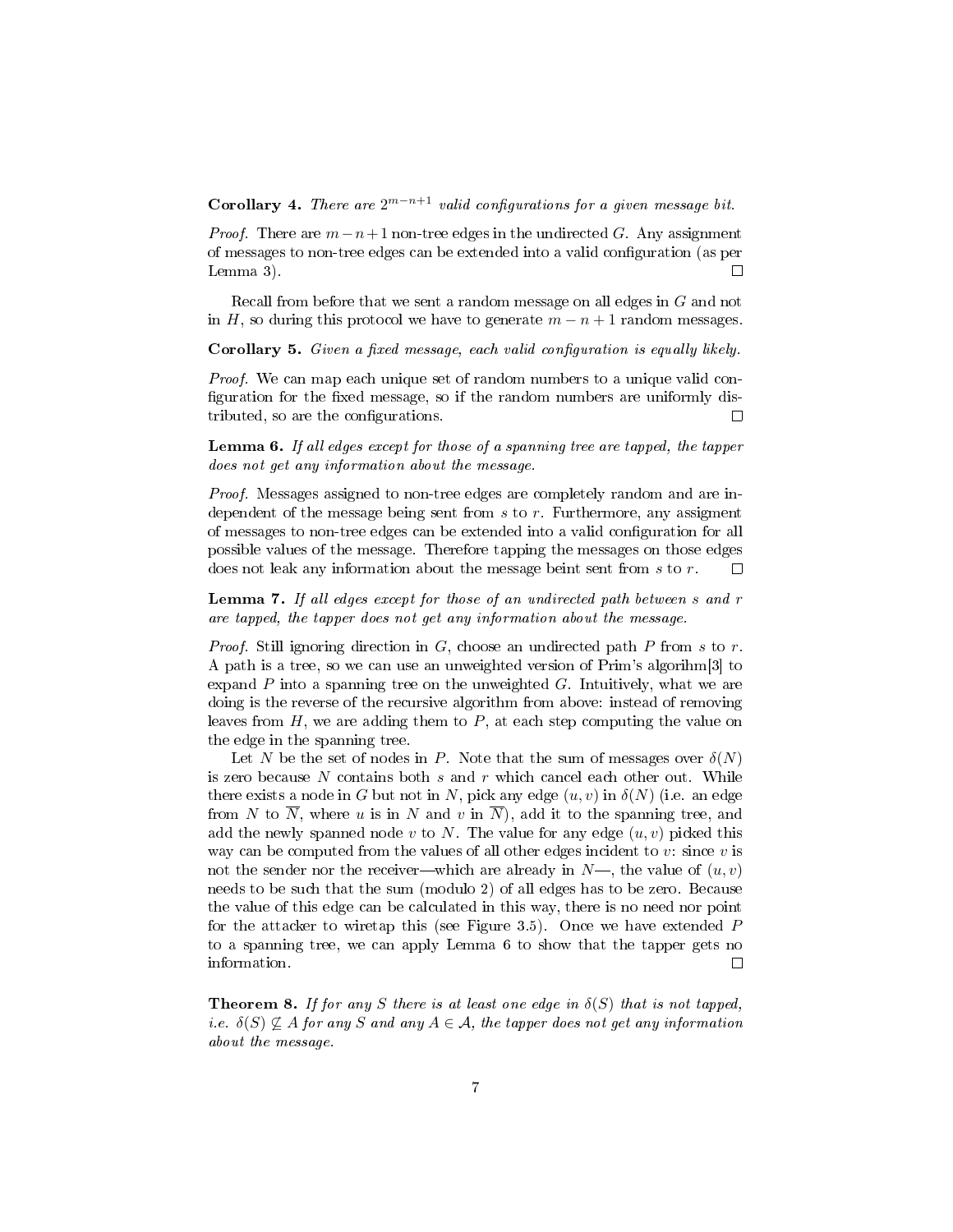Corollary 4. There are  $2^{m-n+1}$  valid configurations for a given message bit.

*Proof.* There are  $m-n+1$  non-tree edges in the undirected G. Any assignment of messages to non-tree edges can be extended into a valid configuration (as per Lemma 3).  $\Box$ 

Recall from before that we sent a random message on all edges in G and not in H, so during this protocol we have to generate  $m - n + 1$  random messages.

Corollary 5. Given a fixed message, each valid configuration is equally likely.

Proof. We can map each unique set of random numbers to a unique valid con figuration for the fixed message, so if the random numbers are uniformly distributed, so are the configurations.  $\Box$ 

Lemma 6. If all edges except for those of a spanning tree are tapped, the tapper does not get any information about the message.

Proof. Messages assigned to non-tree edges are completely random and are independent of the message being sent from  $s$  to  $r$ . Furthermore, any assigment of messages to non-tree edges can be extended into a valid configuration for all possible values of the message. Therefore tapping the messages on those edges does not leak any information about the message beint sent from s to r.  $\Box$ 

Lemma 7. If all edges except for those of an undirected path between s and r are tapped, the tapper does not get any information about the message.

*Proof.* Still ignoring direction in G, choose an undirected path P from s to r. A path is a tree, so we can use an unweighted version of Prim's algorihm[3] to expand  $P$  into a spanning tree on the unweighted  $G$ . Intuitively, what we are doing is the reverse of the recursive algorithm from above: instead of removing leaves from  $H$ , we are adding them to  $P$ , at each step computing the value on the edge in the spanning tree.

Let N be the set of nodes in P. Note that the sum of messages over  $\delta(N)$ is zero because N contains both  $s$  and  $r$  which cancel each other out. While there exists a node in G but not in N, pick any edge  $(u, v)$  in  $\delta(N)$  (i.e. an edge from N to  $\overline{N}$ , where u is in N and v in  $\overline{N}$ ), add it to the spanning tree, and add the newly spanned node v to N. The value for any edge  $(u, v)$  picked this way can be computed from the values of all other edges incident to  $v$ : since  $v$  is not the sender nor the receiver—which are already in  $N$ —, the value of  $(u, v)$ needs to be such that the sum (modulo 2) of all edges has to be zero. Because the value of this edge can be calculated in this way, there is no need nor point for the attacker to wiretap this (see Figure 3.5). Once we have extended P to a spanning tree, we can apply Lemma 6 to show that the tapper gets no information.  $\Box$ 

**Theorem 8.** If for any S there is at least one edge in  $\delta(S)$  that is not tapped, i.e.  $\delta(S) \nsubseteq A$  for any S and any  $A \in \mathcal{A}$ , the tapper does not get any information about the message.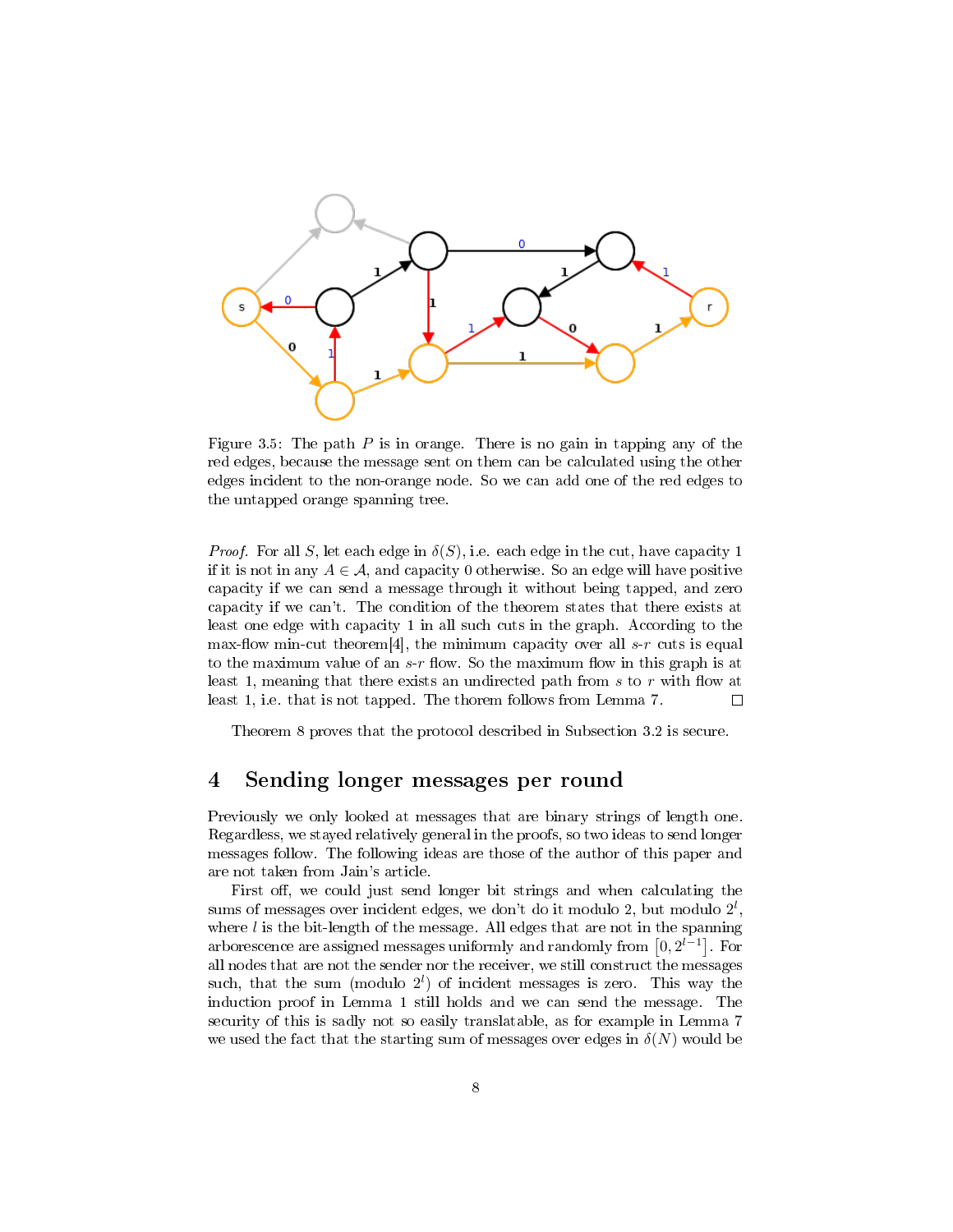

Figure 3.5: The path  $P$  is in orange. There is no gain in tapping any of the red edges, because the message sent on them can be calculated using the other edges incident to the non-orange node. So we can add one of the red edges to the untapped orange spanning tree.

*Proof.* For all S, let each edge in  $\delta(S)$ , i.e. each edge in the cut, have capacity 1 if it is not in any  $A \in \mathcal{A}$ , and capacity 0 otherwise. So an edge will have positive capacity if we can send a message through it without being tapped, and zero capacity if we can't. The condition of the theorem states that there exists at least one edge with capacity 1 in all such cuts in the graph. According to the max-flow min-cut theorem<sup>[4]</sup>, the minimum capacity over all  $s-r$  cuts is equal to the maximum value of an  $s-r$  flow. So the maximum flow in this graph is at least 1, meaning that there exists an undirected path from  $s$  to  $r$  with flow at least 1, i.e. that is not tapped. The thorem follows from Lemma 7.  $\Box$ 

Theorem 8 proves that the protocol described in Subsection 3.2 is secure.

### 4 Sending longer messages per round

Previously we only looked at messages that are binary strings of length one. Regardless, we stayed relatively general in the proofs, so two ideas to send longer messages follow. The following ideas are those of the author of this paper and are not taken from Jain's article.

First off, we could just send longer bit strings and when calculating the sums of messages over incident edges, we don't do it modulo 2, but modulo  $2^l$ , where  $l$  is the bit-length of the message. All edges that are not in the spanning arborescence are assigned messages uniformly and randomly from  $[0, 2^{l-1}]$ . For all nodes that are not the sender nor the receiver, we still construct the messages such, that the sum (modulo  $2^l$ ) of incident messages is zero. This way the induction proof in Lemma 1 still holds and we can send the message. The security of this is sadly not so easily translatable, as for example in Lemma 7 we used the fact that the starting sum of messages over edges in  $\delta(N)$  would be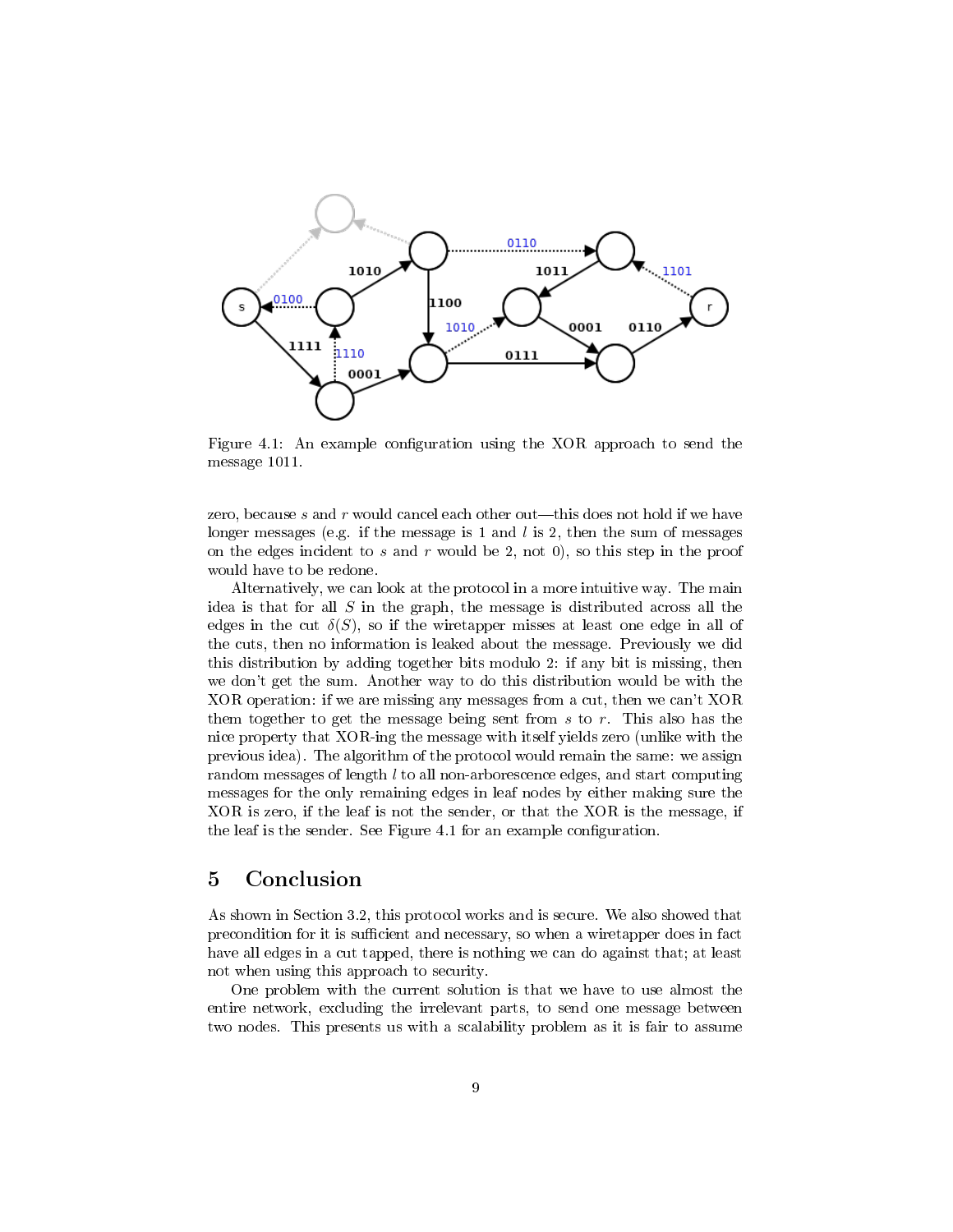

Figure 4.1: An example configuration using the XOR approach to send the message 1011.

zero, because s and  $r$  would cancel each other out—this does not hold if we have longer messages (e.g. if the message is 1 and l is 2, then the sum of messages on the edges incident to s and r would be 2, not 0), so this step in the proof would have to be redone.

Alternatively, we can look at the protocol in a more intuitive way. The main idea is that for all  $S$  in the graph, the message is distributed across all the edges in the cut  $\delta(S)$ , so if the wiretapper misses at least one edge in all of the cuts, then no information is leaked about the message. Previously we did this distribution by adding together bits modulo 2: if any bit is missing, then we don't get the sum. Another way to do this distribution would be with the XOR operation: if we are missing any messages from a cut, then we can't XOR them together to get the message being sent from  $s$  to  $r$ . This also has the nice property that XOR-ing the message with itself yields zero (unlike with the previous idea). The algorithm of the protocol would remain the same: we assign random messages of length l to all non-arborescence edges, and start computing messages for the only remaining edges in leaf nodes by either making sure the XOR is zero, if the leaf is not the sender, or that the XOR is the message, if the leaf is the sender. See Figure 4.1 for an example configuration.

### 5 Conclusion

As shown in Section 3.2, this protocol works and is secure. We also showed that precondition for it is sufficient and necessary, so when a wiretapper does in fact have all edges in a cut tapped, there is nothing we can do against that; at least not when using this approach to security.

One problem with the current solution is that we have to use almost the entire network, excluding the irrelevant parts, to send one message between two nodes. This presents us with a scalability problem as it is fair to assume